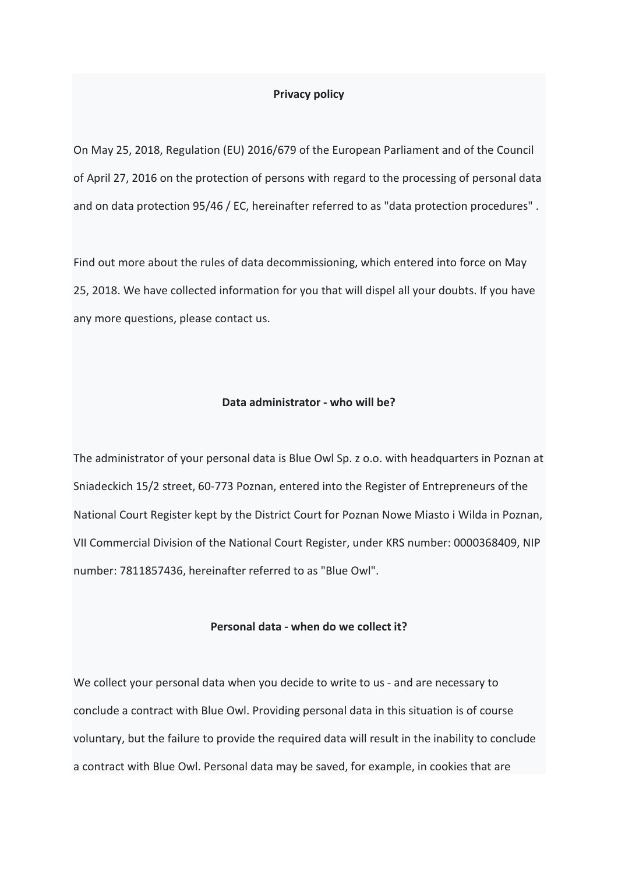#### **Privacy policy**

On May 25, 2018, Regulation (EU) 2016/679 of the European Parliament and of the Council of April 27, 2016 on the protection of persons with regard to the processing of personal data and on data protection 95/46 / EC, hereinafter referred to as "data protection procedures" .

Find out more about the rules of data decommissioning, which entered into force on May 25, 2018. We have collected information for you that will dispel all your doubts. If you have any more questions, please contact us.

#### **Data administrator - who will be?**

The administrator of your personal data is Blue Owl Sp. z o.o. with headquarters in Poznan at Sniadeckich 15/2 street, 60-773 Poznan, entered into the Register of Entrepreneurs of the National Court Register kept by the District Court for Poznan Nowe Miasto i Wilda in Poznan, VII Commercial Division of the National Court Register, under KRS number: 0000368409, NIP number: 7811857436, hereinafter referred to as "Blue Owl".

#### **Personal data - when do we collect it?**

We collect your personal data when you decide to write to us - and are necessary to conclude a contract with Blue Owl. Providing personal data in this situation is of course voluntary, but the failure to provide the required data will result in the inability to conclude a contract with Blue Owl. Personal data may be saved, for example, in cookies that are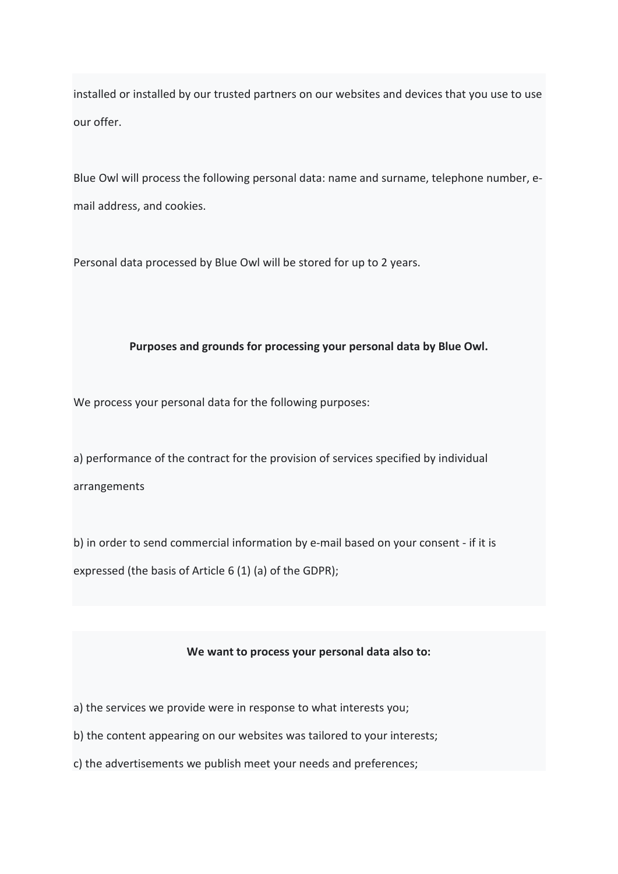installed or installed by our trusted partners on our websites and devices that you use to use our offer.

Blue Owl will process the following personal data: name and surname, telephone number, email address, and cookies.

Personal data processed by Blue Owl will be stored for up to 2 years.

# **Purposes and grounds for processing your personal data by Blue Owl.**

We process your personal data for the following purposes:

a) performance of the contract for the provision of services specified by individual arrangements

b) in order to send commercial information by e-mail based on your consent - if it is expressed (the basis of Article 6 (1) (a) of the GDPR);

## **We want to process your personal data also to:**

- a) the services we provide were in response to what interests you;
- b) the content appearing on our websites was tailored to your interests;
- c) the advertisements we publish meet your needs and preferences;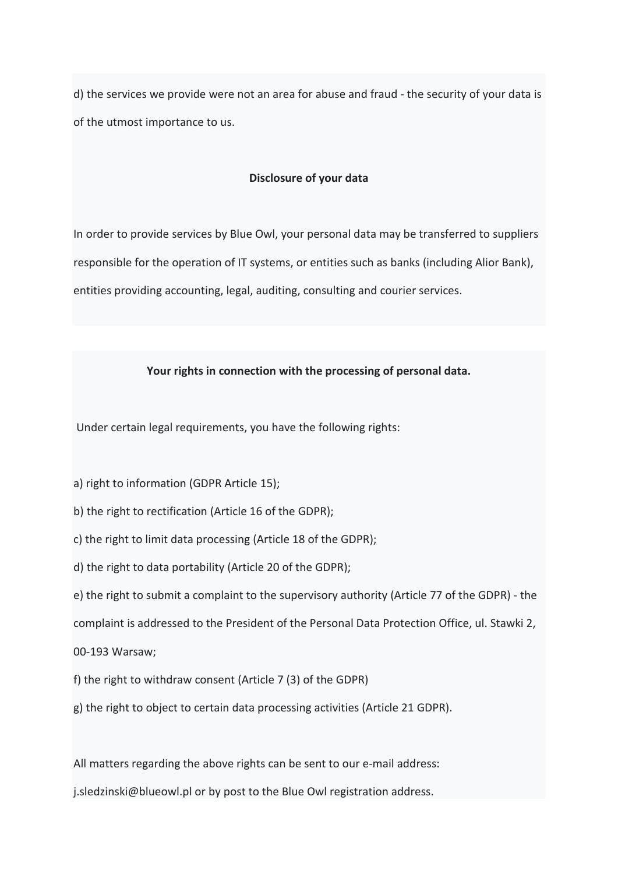d) the services we provide were not an area for abuse and fraud - the security of your data is of the utmost importance to us.

### **Disclosure of your data**

In order to provide services by Blue Owl, your personal data may be transferred to suppliers responsible for the operation of IT systems, or entities such as banks (including Alior Bank), entities providing accounting, legal, auditing, consulting and courier services.

## **Your rights in connection with the processing of personal data.**

Under certain legal requirements, you have the following rights:

a) right to information (GDPR Article 15);

- b) the right to rectification (Article 16 of the GDPR);
- c) the right to limit data processing (Article 18 of the GDPR);
- d) the right to data portability (Article 20 of the GDPR);
- e) the right to submit a complaint to the supervisory authority (Article 77 of the GDPR) the

complaint is addressed to the President of the Personal Data Protection Office, ul. Stawki 2,

- 00-193 Warsaw;
- f) the right to withdraw consent (Article 7 (3) of the GDPR)
- g) the right to object to certain data processing activities (Article 21 GDPR).

All matters regarding the above rights can be sent to our e-mail address:

j.sledzinski@blueowl.pl or by post to the Blue Owl registration address.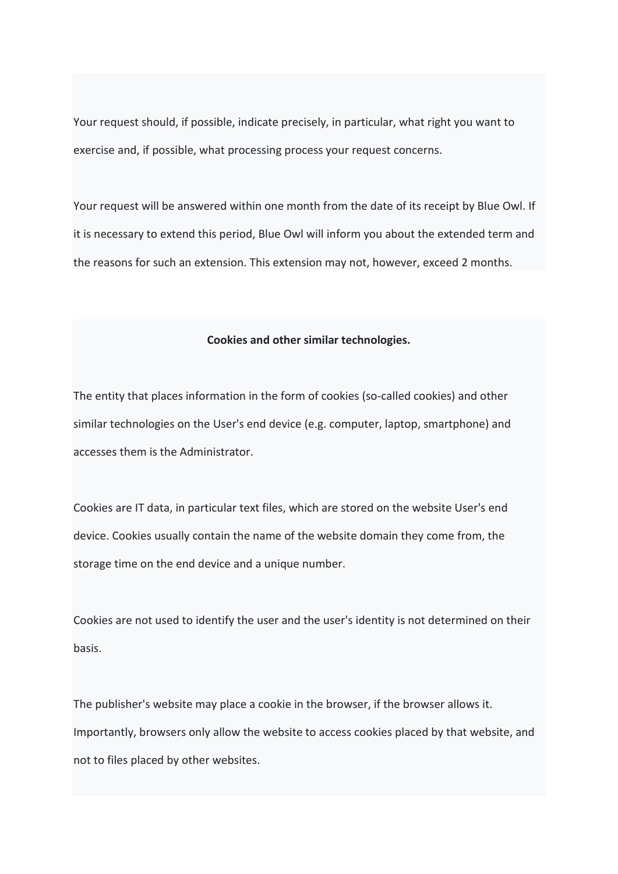Your request should, if possible, indicate precisely, in particular, what right you want to exercise and, if possible, what processing process your request concerns.

Your request will be answered within one month from the date of its receipt by Blue Owl. If it is necessary to extend this period, Blue Owl will inform you about the extended term and the reasons for such an extension. This extension may not, however, exceed 2 months.

#### **Cookies and other similar technologies.**

The entity that places information in the form of cookies (so-called cookies) and other similar technologies on the User's end device (e.g. computer, laptop, smartphone) and accesses them is the Administrator.

Cookies are IT data, in particular text files, which are stored on the website User's end device. Cookies usually contain the name of the website domain they come from, the storage time on the end device and a unique number.

Cookies are not used to identify the user and the user's identity is not determined on their basis.

The publisher's website may place a cookie in the browser, if the browser allows it. Importantly, browsers only allow the website to access cookies placed by that website, and not to files placed by other websites.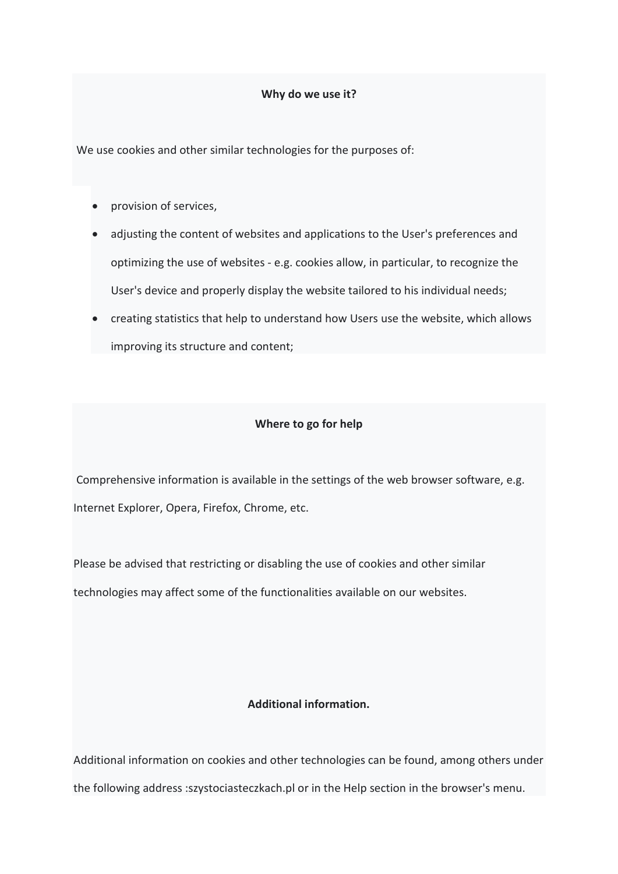### **Why do we use it?**

We use cookies and other similar technologies for the purposes of:

- provision of services,
- adjusting the content of websites and applications to the User's preferences and optimizing the use of websites - e.g. cookies allow, in particular, to recognize the User's device and properly display the website tailored to his individual needs;
- creating statistics that help to understand how Users use the website, which allows improving its structure and content;

### **Where to go for help**

Comprehensive information is available in the settings of the web browser software, e.g. Internet Explorer, Opera, Firefox, Chrome, etc.

Please be advised that restricting or disabling the use of cookies and other similar technologies may affect some of the functionalities available on our websites.

## **Additional information.**

Additional information on cookies and other technologies can be found, among others under the following address :szystociasteczkach.pl or in the Help section in the browser's menu.